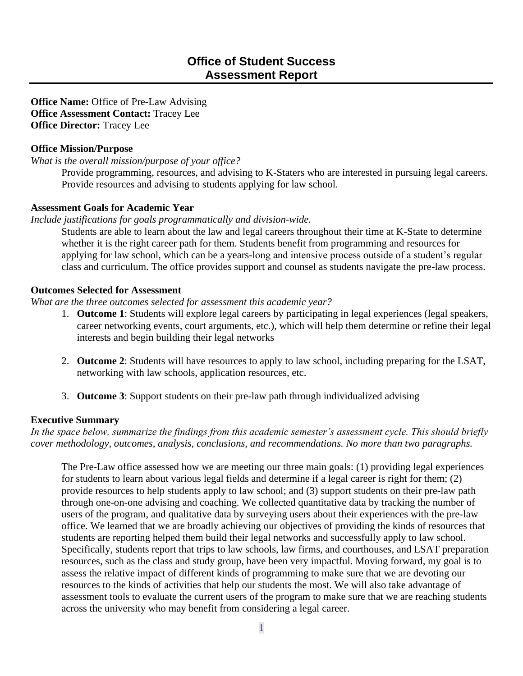**Office Name:** Office of Pre-Law Advising **Office Assessment Contact:** Tracey Lee **Office Director:** Tracey Lee

## **Office Mission/Purpose**

*What is the overall mission/purpose of your office?*

Provide programming, resources, and advising to K-Staters who are interested in pursuing legal careers. Provide resources and advising to students applying for law school.

## **Assessment Goals for Academic Year**

*Include justifications for goals programmatically and division-wide.*

Students are able to learn about the law and legal careers throughout their time at K-State to determine whether it is the right career path for them. Students benefit from programming and resources for applying for law school, which can be a years-long and intensive process outside of a student's regular class and curriculum. The office provides support and counsel as students navigate the pre-law process.

## **Outcomes Selected for Assessment**

*What are the three outcomes selected for assessment this academic year?*

- 1. **Outcome 1**: Students will explore legal careers by participating in legal experiences (legal speakers, career networking events, court arguments, etc.), which will help them determine or refine their legal interests and begin building their legal networks
- 2. **Outcome 2**: Students will have resources to apply to law school, including preparing for the LSAT, networking with law schools, application resources, etc.
- 3. **Outcome 3**: Support students on their pre-law path through individualized advising

## **Executive Summary**

*In the space below, summarize the findings from this academic semester's assessment cycle. This should briefly cover methodology, outcomes, analysis, conclusions, and recommendations. No more than two paragraphs.*

The Pre-Law office assessed how we are meeting our three main goals: (1) providing legal experiences for students to learn about various legal fields and determine if a legal career is right for them; (2) provide resources to help students apply to law school; and (3) support students on their pre-law path through one-on-one advising and coaching. We collected quantitative data by tracking the number of users of the program, and qualitative data by surveying users about their experiences with the pre-law office. We learned that we are broadly achieving our objectives of providing the kinds of resources that students are reporting helped them build their legal networks and successfully apply to law school. Specifically, students report that trips to law schools, law firms, and courthouses, and LSAT preparation resources, such as the class and study group, have been very impactful. Moving forward, my goal is to assess the relative impact of different kinds of programming to make sure that we are devoting our resources to the kinds of activities that help our students the most. We will also take advantage of assessment tools to evaluate the current users of the program to make sure that we are reaching students across the university who may benefit from considering a legal career.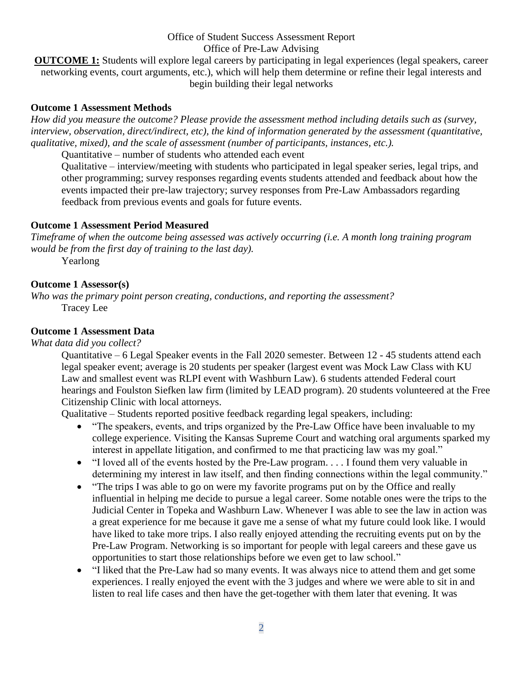**OUTCOME 1:** Students will explore legal careers by participating in legal experiences (legal speakers, career networking events, court arguments, etc.), which will help them determine or refine their legal interests and begin building their legal networks

## **Outcome 1 Assessment Methods**

*How did you measure the outcome? Please provide the assessment method including details such as (survey, interview, observation, direct/indirect, etc), the kind of information generated by the assessment (quantitative, qualitative, mixed), and the scale of assessment (number of participants, instances, etc.).*

Quantitative – number of students who attended each event

Qualitative – interview/meeting with students who participated in legal speaker series, legal trips, and other programming; survey responses regarding events students attended and feedback about how the events impacted their pre-law trajectory; survey responses from Pre-Law Ambassadors regarding feedback from previous events and goals for future events.

## **Outcome 1 Assessment Period Measured**

*Timeframe of when the outcome being assessed was actively occurring (i.e. A month long training program would be from the first day of training to the last day).*

Yearlong

## **Outcome 1 Assessor(s)**

*Who was the primary point person creating, conductions, and reporting the assessment?* Tracey Lee

## **Outcome 1 Assessment Data**

*What data did you collect?*

Quantitative – 6 Legal Speaker events in the Fall 2020 semester. Between 12 - 45 students attend each legal speaker event; average is 20 students per speaker (largest event was Mock Law Class with KU Law and smallest event was RLPI event with Washburn Law). 6 students attended Federal court hearings and Foulston Siefken law firm (limited by LEAD program). 20 students volunteered at the Free Citizenship Clinic with local attorneys.

Qualitative – Students reported positive feedback regarding legal speakers, including:

- "The speakers, events, and trips organized by the Pre-Law Office have been invaluable to my college experience. Visiting the Kansas Supreme Court and watching oral arguments sparked my interest in appellate litigation, and confirmed to me that practicing law was my goal."
- "I loved all of the events hosted by the Pre-Law program. . . . I found them very valuable in determining my interest in law itself, and then finding connections within the legal community."
- "The trips I was able to go on were my favorite programs put on by the Office and really influential in helping me decide to pursue a legal career. Some notable ones were the trips to the Judicial Center in Topeka and Washburn Law. Whenever I was able to see the law in action was a great experience for me because it gave me a sense of what my future could look like. I would have liked to take more trips. I also really enjoyed attending the recruiting events put on by the Pre-Law Program. Networking is so important for people with legal careers and these gave us opportunities to start those relationships before we even get to law school."
- "I liked that the Pre-Law had so many events. It was always nice to attend them and get some experiences. I really enjoyed the event with the 3 judges and where we were able to sit in and listen to real life cases and then have the get-together with them later that evening. It was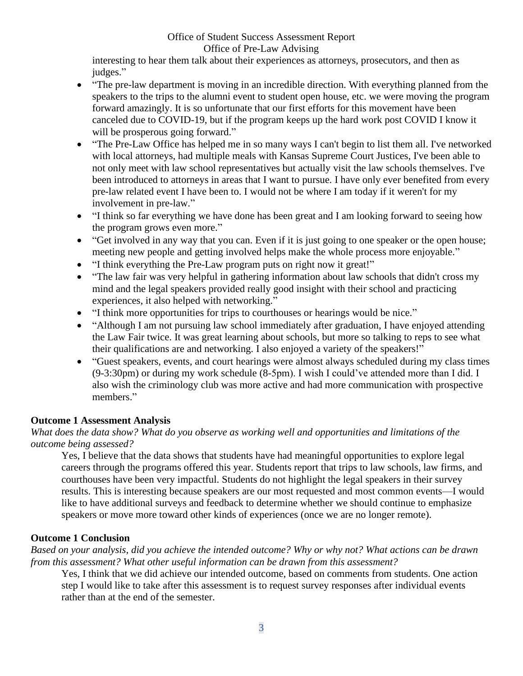interesting to hear them talk about their experiences as attorneys, prosecutors, and then as judges."

- "The pre-law department is moving in an incredible direction. With everything planned from the speakers to the trips to the alumni event to student open house, etc. we were moving the program forward amazingly. It is so unfortunate that our first efforts for this movement have been canceled due to COVID-19, but if the program keeps up the hard work post COVID I know it will be prosperous going forward."
- "The Pre-Law Office has helped me in so many ways I can't begin to list them all. I've networked with local attorneys, had multiple meals with Kansas Supreme Court Justices, I've been able to not only meet with law school representatives but actually visit the law schools themselves. I've been introduced to attorneys in areas that I want to pursue. I have only ever benefited from every pre-law related event I have been to. I would not be where I am today if it weren't for my involvement in pre-law."
- "I think so far everything we have done has been great and I am looking forward to seeing how the program grows even more."
- "Get involved in any way that you can. Even if it is just going to one speaker or the open house; meeting new people and getting involved helps make the whole process more enjoyable."
- "I think everything the Pre-Law program puts on right now it great!"
- "The law fair was very helpful in gathering information about law schools that didn't cross my mind and the legal speakers provided really good insight with their school and practicing experiences, it also helped with networking."
- "I think more opportunities for trips to courthouses or hearings would be nice."
- "Although I am not pursuing law school immediately after graduation, I have enjoyed attending the Law Fair twice. It was great learning about schools, but more so talking to reps to see what their qualifications are and networking. I also enjoyed a variety of the speakers!"
- "Guest speakers, events, and court hearings were almost always scheduled during my class times (9-3:30pm) or during my work schedule (8-5pm). I wish I could've attended more than I did. I also wish the criminology club was more active and had more communication with prospective members."

# **Outcome 1 Assessment Analysis**

# *What does the data show? What do you observe as working well and opportunities and limitations of the outcome being assessed?*

Yes, I believe that the data shows that students have had meaningful opportunities to explore legal careers through the programs offered this year. Students report that trips to law schools, law firms, and courthouses have been very impactful. Students do not highlight the legal speakers in their survey results. This is interesting because speakers are our most requested and most common events—I would like to have additional surveys and feedback to determine whether we should continue to emphasize speakers or move more toward other kinds of experiences (once we are no longer remote).

# **Outcome 1 Conclusion**

*Based on your analysis, did you achieve the intended outcome? Why or why not? What actions can be drawn from this assessment? What other useful information can be drawn from this assessment?*

Yes, I think that we did achieve our intended outcome, based on comments from students. One action step I would like to take after this assessment is to request survey responses after individual events rather than at the end of the semester.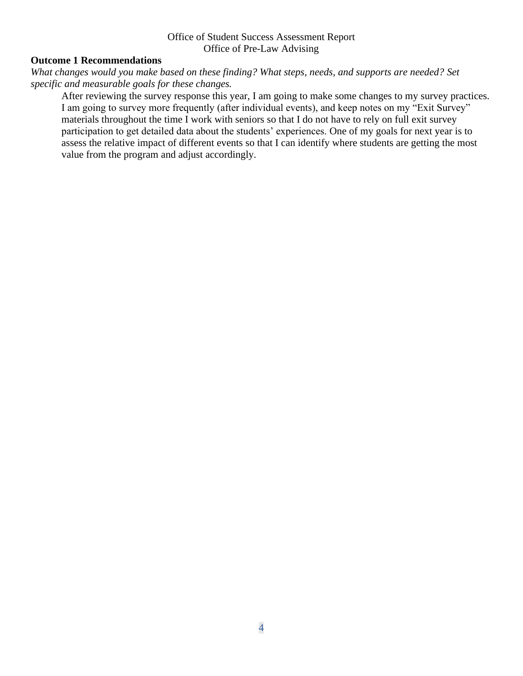# **Outcome 1 Recommendations**

*What changes would you make based on these finding? What steps, needs, and supports are needed? Set specific and measurable goals for these changes.*

After reviewing the survey response this year, I am going to make some changes to my survey practices. I am going to survey more frequently (after individual events), and keep notes on my "Exit Survey" materials throughout the time I work with seniors so that I do not have to rely on full exit survey participation to get detailed data about the students' experiences. One of my goals for next year is to assess the relative impact of different events so that I can identify where students are getting the most value from the program and adjust accordingly.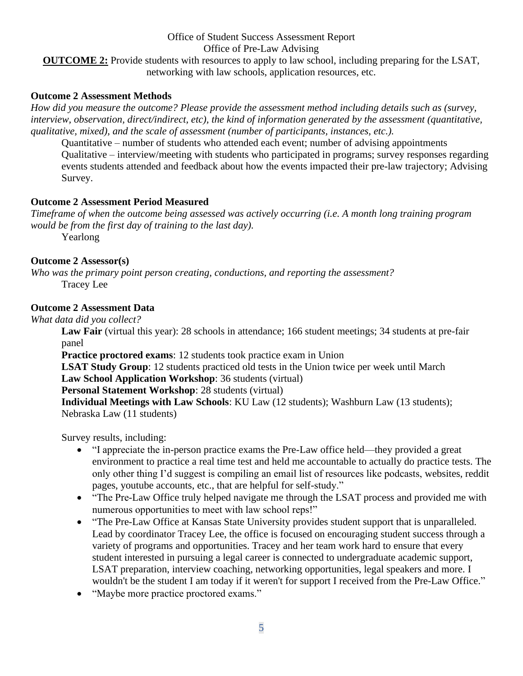**OUTCOME 2:** Provide students with resources to apply to law school, including preparing for the LSAT, networking with law schools, application resources, etc.

## **Outcome 2 Assessment Methods**

*How did you measure the outcome? Please provide the assessment method including details such as (survey, interview, observation, direct/indirect, etc), the kind of information generated by the assessment (quantitative, qualitative, mixed), and the scale of assessment (number of participants, instances, etc.).*

Quantitative – number of students who attended each event; number of advising appointments Qualitative – interview/meeting with students who participated in programs; survey responses regarding events students attended and feedback about how the events impacted their pre-law trajectory; Advising Survey.

## **Outcome 2 Assessment Period Measured**

*Timeframe of when the outcome being assessed was actively occurring (i.e. A month long training program would be from the first day of training to the last day).*

Yearlong

## **Outcome 2 Assessor(s)**

*Who was the primary point person creating, conductions, and reporting the assessment?* Tracey Lee

## **Outcome 2 Assessment Data**

*What data did you collect?*

**Law Fair** (virtual this year): 28 schools in attendance; 166 student meetings; 34 students at pre-fair panel

**Practice proctored exams**: 12 students took practice exam in Union

**LSAT Study Group**: 12 students practiced old tests in the Union twice per week until March

**Law School Application Workshop**: 36 students (virtual)

**Personal Statement Workshop**: 28 students (virtual)

**Individual Meetings with Law Schools**: KU Law (12 students); Washburn Law (13 students); Nebraska Law (11 students)

Survey results, including:

- "I appreciate the in-person practice exams the Pre-Law office held—they provided a great environment to practice a real time test and held me accountable to actually do practice tests. The only other thing I'd suggest is compiling an email list of resources like podcasts, websites, reddit pages, youtube accounts, etc., that are helpful for self-study."
- "The Pre-Law Office truly helped navigate me through the LSAT process and provided me with numerous opportunities to meet with law school reps!"
- "The Pre-Law Office at Kansas State University provides student support that is unparalleled. Lead by coordinator Tracey Lee, the office is focused on encouraging student success through a variety of programs and opportunities. Tracey and her team work hard to ensure that every student interested in pursuing a legal career is connected to undergraduate academic support, LSAT preparation, interview coaching, networking opportunities, legal speakers and more. I wouldn't be the student I am today if it weren't for support I received from the Pre-Law Office."
- "Maybe more practice proctored exams."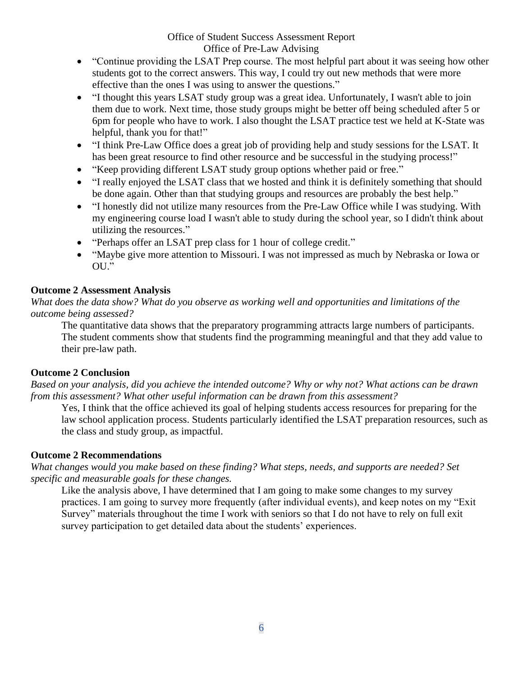- "Continue providing the LSAT Prep course. The most helpful part about it was seeing how other students got to the correct answers. This way, I could try out new methods that were more effective than the ones I was using to answer the questions."
- "I thought this years LSAT study group was a great idea. Unfortunately, I wasn't able to join them due to work. Next time, those study groups might be better off being scheduled after 5 or 6pm for people who have to work. I also thought the LSAT practice test we held at K-State was helpful, thank you for that!"
- "I think Pre-Law Office does a great job of providing help and study sessions for the LSAT. It has been great resource to find other resource and be successful in the studying process!"
- "Keep providing different LSAT study group options whether paid or free."
- "I really enjoyed the LSAT class that we hosted and think it is definitely something that should be done again. Other than that studying groups and resources are probably the best help."
- "I honestly did not utilize many resources from the Pre-Law Office while I was studying. With my engineering course load I wasn't able to study during the school year, so I didn't think about utilizing the resources."
- "Perhaps offer an LSAT prep class for 1 hour of college credit."
- "Maybe give more attention to Missouri. I was not impressed as much by Nebraska or Iowa or OU."

# **Outcome 2 Assessment Analysis**

*What does the data show? What do you observe as working well and opportunities and limitations of the outcome being assessed?* 

The quantitative data shows that the preparatory programming attracts large numbers of participants. The student comments show that students find the programming meaningful and that they add value to their pre-law path.

# **Outcome 2 Conclusion**

*Based on your analysis, did you achieve the intended outcome? Why or why not? What actions can be drawn from this assessment? What other useful information can be drawn from this assessment?*

Yes, I think that the office achieved its goal of helping students access resources for preparing for the law school application process. Students particularly identified the LSAT preparation resources, such as the class and study group, as impactful.

# **Outcome 2 Recommendations**

*What changes would you make based on these finding? What steps, needs, and supports are needed? Set specific and measurable goals for these changes.*

Like the analysis above, I have determined that I am going to make some changes to my survey practices. I am going to survey more frequently (after individual events), and keep notes on my "Exit Survey" materials throughout the time I work with seniors so that I do not have to rely on full exit survey participation to get detailed data about the students' experiences.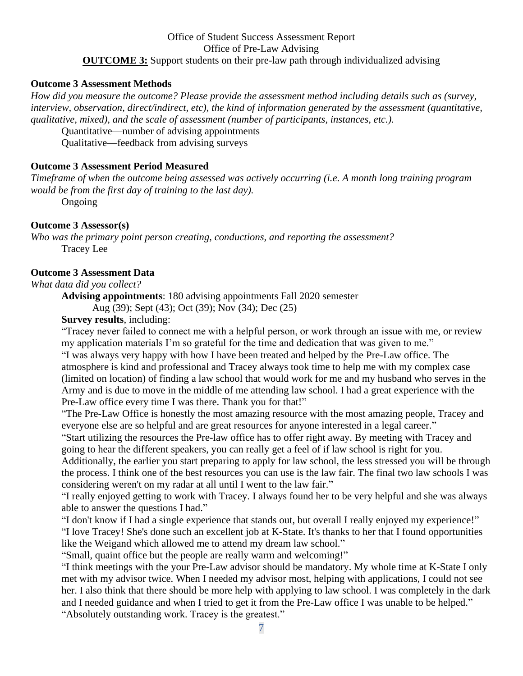## Office of Student Success Assessment Report Office of Pre-Law Advising **OUTCOME 3:** Support students on their pre-law path through individualized advising

#### **Outcome 3 Assessment Methods**

*How did you measure the outcome? Please provide the assessment method including details such as (survey, interview, observation, direct/indirect, etc), the kind of information generated by the assessment (quantitative, qualitative, mixed), and the scale of assessment (number of participants, instances, etc.).*

Quantitative—number of advising appointments

Qualitative—feedback from advising surveys

#### **Outcome 3 Assessment Period Measured**

*Timeframe of when the outcome being assessed was actively occurring (i.e. A month long training program would be from the first day of training to the last day).*

Ongoing

## **Outcome 3 Assessor(s)**

*Who was the primary point person creating, conductions, and reporting the assessment?* Tracey Lee

#### **Outcome 3 Assessment Data**

*What data did you collect?*

**Advising appointments**: 180 advising appointments Fall 2020 semester

Aug (39); Sept (43); Oct (39); Nov (34); Dec (25)

**Survey results**, including:

"Tracey never failed to connect me with a helpful person, or work through an issue with me, or review my application materials I'm so grateful for the time and dedication that was given to me."

"I was always very happy with how I have been treated and helped by the Pre-Law office. The atmosphere is kind and professional and Tracey always took time to help me with my complex case (limited on location) of finding a law school that would work for me and my husband who serves in the Army and is due to move in the middle of me attending law school. I had a great experience with the Pre-Law office every time I was there. Thank you for that!"

"The Pre-Law Office is honestly the most amazing resource with the most amazing people, Tracey and everyone else are so helpful and are great resources for anyone interested in a legal career."

"Start utilizing the resources the Pre-law office has to offer right away. By meeting with Tracey and going to hear the different speakers, you can really get a feel of if law school is right for you.

Additionally, the earlier you start preparing to apply for law school, the less stressed you will be through the process. I think one of the best resources you can use is the law fair. The final two law schools I was considering weren't on my radar at all until I went to the law fair."

"I really enjoyed getting to work with Tracey. I always found her to be very helpful and she was always able to answer the questions I had."

"I don't know if I had a single experience that stands out, but overall I really enjoyed my experience!"

"I love Tracey! She's done such an excellent job at K-State. It's thanks to her that I found opportunities like the Weigand which allowed me to attend my dream law school."

"Small, quaint office but the people are really warm and welcoming!"

"I think meetings with the your Pre-Law advisor should be mandatory. My whole time at K-State I only met with my advisor twice. When I needed my advisor most, helping with applications, I could not see her. I also think that there should be more help with applying to law school. I was completely in the dark and I needed guidance and when I tried to get it from the Pre-Law office I was unable to be helped." "Absolutely outstanding work. Tracey is the greatest."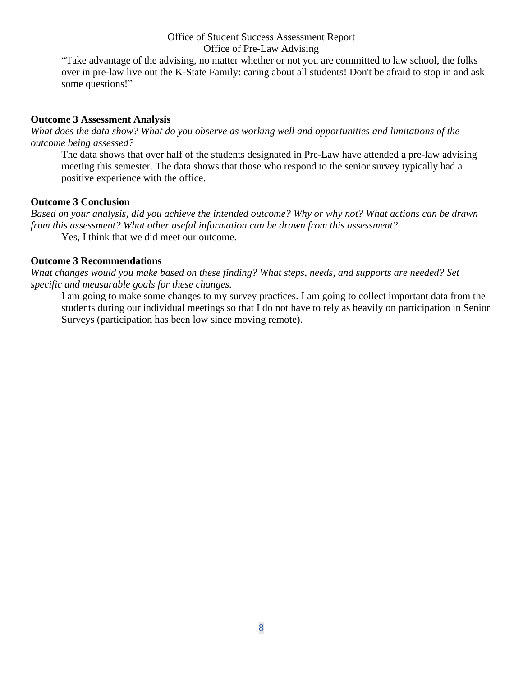"Take advantage of the advising, no matter whether or not you are committed to law school, the folks over in pre-law live out the K-State Family: caring about all students! Don't be afraid to stop in and ask some questions!"

## **Outcome 3 Assessment Analysis**

*What does the data show? What do you observe as working well and opportunities and limitations of the outcome being assessed?* 

The data shows that over half of the students designated in Pre-Law have attended a pre-law advising meeting this semester. The data shows that those who respond to the senior survey typically had a positive experience with the office.

## **Outcome 3 Conclusion**

*Based on your analysis, did you achieve the intended outcome? Why or why not? What actions can be drawn from this assessment? What other useful information can be drawn from this assessment?*

Yes, I think that we did meet our outcome.

## **Outcome 3 Recommendations**

*What changes would you make based on these finding? What steps, needs, and supports are needed? Set specific and measurable goals for these changes.*

I am going to make some changes to my survey practices. I am going to collect important data from the students during our individual meetings so that I do not have to rely as heavily on participation in Senior Surveys (participation has been low since moving remote).